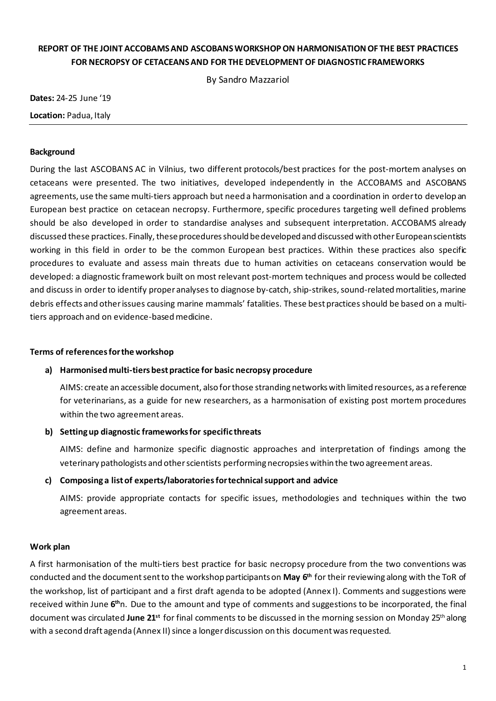# **REPORT OF THE JOINT ACCOBAMSAND ASCOBANSWORKSHOPON HARMONISATIONOF THE BEST PRACTICES FOR NECROPSY OF CETACEANSAND FOR THE DEVELOPMENT OF DIAGNOSTIC FRAMEWORKS**

By Sandro Mazzariol

**Dates:** 24-25 June '19 **Location:** Padua, Italy

### **Background**

During the last ASCOBANS AC in Vilnius, two different protocols/best practices for the post-mortem analyses on cetaceans were presented. The two initiatives, developed independently in the ACCOBAMS and ASCOBANS agreements, use the same multi-tiers approach but need a harmonisation and a coordination in orderto develop an European best practice on cetacean necropsy. Furthermore, specific procedures targeting well defined problems should be also developed in order to standardise analyses and subsequent interpretation. ACCOBAMS already discussed these practices. Finally, these procedures should be developed and discussed with other European scientists working in this field in order to be the common European best practices. Within these practices also specific procedures to evaluate and assess main threats due to human activities on cetaceans conservation would be developed: a diagnostic framework built on most relevant post-mortem techniques and process would be collected and discuss in order to identify proper analyses to diagnose by-catch, ship-strikes, sound-related mortalities, marine debris effects and otherissues causing marine mammals' fatalities. These bestpractices should be based on a multitiers approach and on evidence-basedmedicine.

### **Terms of referencesforthe workshop**

### **a) Harmonised multi-tiers bestpractice for basic necropsy procedure**

AIMS: create an accessible document, also forthose stranding networkswith limited resources, as a reference for veterinarians, as a guide for new researchers, as a harmonisation of existing post mortem procedures within the two agreement areas.

### **b) Settingup diagnostic frameworksfor specific threats**

AIMS: define and harmonize specific diagnostic approaches and interpretation of findings among the veterinary pathologists and other scientists performing necropsies within the two agreement areas.

### **c) Composing a listof experts/laboratoriesfortechnicalsupport and advice**

AIMS: provide appropriate contacts for specific issues, methodologies and techniques within the two agreement areas.

### **Work plan**

A first harmonisation of the multi-tiers best practice for basic necropsy procedure from the two conventions was conducted and the document sent to the workshop participants on **May 6<sup>th</sup> for their reviewing along with the ToR of** the workshop, list of participant and a first draft agenda to be adopted (Annex I). Comments and suggestions were received within June 6<sup>th</sup>n. Due to the amount and type of comments and suggestions to be incorporated, the final document was circulated **June 21st** for final comments to be discussed in the morning session on Monday 25th along with a second draft agenda (Annex II) since a longer discussion on this document was requested.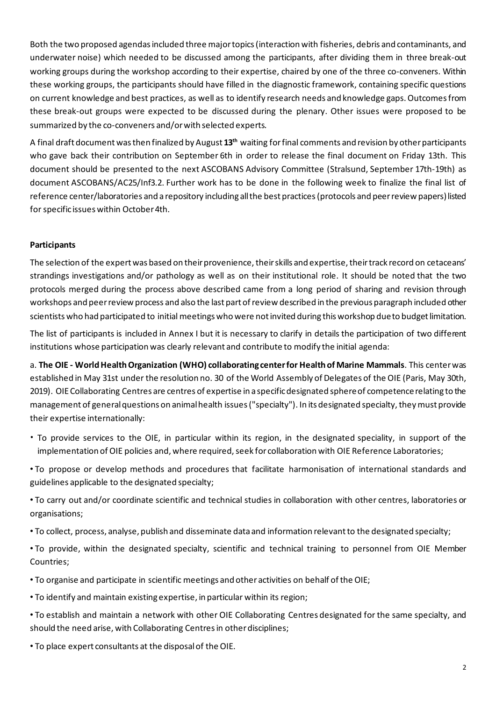Both the two proposed agendasincluded three majortopics(interaction with fisheries, debris and contaminants, and underwater noise) which needed to be discussed among the participants, after dividing them in three break-out working groups during the workshop according to their expertise, chaired by one of the three co-conveners. Within these working groups, the participants should have filled in the diagnostic framework, containing specific questions on current knowledge and best practices, as well as to identify research needs and knowledge gaps.Outcomesfrom these break-out groups were expected to be discussed during the plenary. Other issues were proposed to be summarized by the co-conveners and/orwith selected experts.

A final draft document was then finalized by August 13<sup>th</sup> waiting for final comments and revision by other participants who gave back their contribution on September 6th in order to release the final document on Friday 13th. This document should be presented to the next ASCOBANS Advisory Committee (Stralsund, September 17th-19th) as document ASCOBANS/AC25/Inf3.2. Further work has to be done in the following week to finalize the final list of reference center/laboratories and a repository including allthe best practices(protocols and peerreview papers)listed for specific issues within October 4th.

### **Participants**

The selection of the expert was based on their provenience, their skills and expertise, their track record on cetaceans' strandings investigations and/or pathology as well as on their institutional role. It should be noted that the two protocols merged during the process above described came from a long period of sharing and revision through workshops and peerreview process and also the last partofreview described in the previous paragraph included other scientists who had participated to initial meetings who were not invited during this workshop dueto budget limitation.

The list of participants is included in Annex I but it is necessary to clarify in details the participation of two different institutions whose participation was clearly relevant and contribute to modify the initial agenda:

a. **The OIE - WorldHealthOrganization (WHO) collaboratingcenterfor Healthof Marine Mammals**. This centerwas established in May 31st under the resolution no. 30 of the World Assembly of Delegates of the OIE (Paris, May 30th, 2019). OIECollaborating Centres are centres of expertise in a specificdesignated sphereof competencerelating to the management of general questions on animal health issues ("specialty"). In its designated specialty, they must provide their expertise internationally:

- To provide services to the OIE, in particular within its region, in the designated speciality, in support of the implementation of OIE policies and, where required, seek for collaboration with OIE Reference Laboratories;
- To propose or develop methods and procedures that facilitate harmonisation of international standards and guidelines applicable to the designated specialty;

• To carry out and/or coordinate scientific and technical studies in collaboration with other centres, laboratories or organisations;

- To collect, process, analyse, publish and disseminate data and information relevantto the designated specialty;
- To provide, within the designated specialty, scientific and technical training to personnel from OIE Member Countries;
- To organise and participate in scientific meetings and other activities on behalf ofthe OIE;
- To identify and maintain existing expertise, in particular within its region;
- To establish and maintain a network with other OIE Collaborating Centres designated for the same specialty, and should the need arise, with Collaborating Centres in other disciplines;
- To place expert consultants at the disposalof the OIE.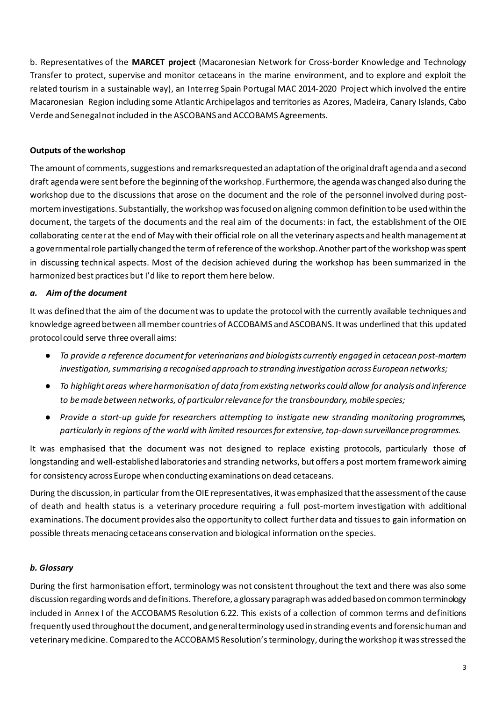b. Representatives of the **MARCET project** (Macaronesian Network for Cross-border Knowledge and Technology Transfer to protect, supervise and monitor cetaceans in the marine environment, and to explore and exploit the related tourism in a sustainable way), an Interreg Spain Portugal MAC 2014-2020 Project which involved the entire Macaronesian Region including some Atlantic Archipelagos and territories as Azores, Madeira, Canary Islands, Cabo Verde and Senegalnot included in the ASCOBANS and ACCOBAMS Agreements.

## **Outputs of the workshop**

The amount of comments, suggestions and remarks requested an adaptation of the original draft agenda and a second draft agendawere sent before the beginning ofthe workshop. Furthermore,the agendawas changed also during the workshop due to the discussions that arose on the document and the role of the personnel involved during postmortem investigations. Substantially, the workshop was focused on aligning common definition to be used within the document, the targets of the documents and the real aim of the documents: in fact, the establishment of the OIE collaborating center at the end of May with their official role on all the veterinary aspects and healthmanagement at a governmental role partially changed the term of reference of the workshop. Another part of the workshop was spent in discussing technical aspects. Most of the decision achieved during the workshop has been summarized in the harmonized best practices but I'd like to report themhere below.

### *a. Aim ofthe document*

It was defined that the aim of the documentwas to update the protocol with the currently available techniques and knowledge agreed between allmember countries of ACCOBAMS andASCOBANS. Itwas underlined that this updated protocol could serve three overall aims:

- *To provide a reference documentfor veterinarians and biologists currently engaged in cetacean post-mortem investigation,summarising a recognised approach to stranding investigation across European networks;*
- *To highlight areas whereharmonisation of data fromexisting networks could allow for analysis and inference to bemadebetween networks, of particularrelevancefor the transboundary, mobile species;*
- *Provide a start-up guide for researchers attempting to instigate new stranding monitoring programmes, particularly in regions ofthe world with limited resourcesfor extensive,top-down surveillanceprogrammes.*

It was emphasised that the document was not designed to replace existing protocols, particularly those of longstanding and well-established laboratories and stranding networks, but offers a post mortem framework aiming for consistency across Europe when conducting examinationson dead cetaceans.

During the discussion, in particular fromthe OIE representatives, itwas emphasized thatthe assessment ofthe cause of death and health status is a veterinary procedure requiring a full post-mortem investigation with additional examinations. The document provides also the opportunity to collect furtherdata and tissuesto gain information on possible threatsmenacing cetaceans conservation and biological information on the species.

## *b. Glossary*

During the first harmonisation effort, terminology was not consistent throughout the text and there was also some discussion regardingwords and definitions. Therefore, aglossary paragraph was added basedon common terminology included in Annex I of the ACCOBAMS Resolution 6.22. This exists of a collection of common terms and definitions frequently used throughoutthe document, and generalterminology used in stranding events and forensichuman and veterinarymedicine. Compared to the ACCOBAMS Resolution'sterminology, during the workshop itwasstressed the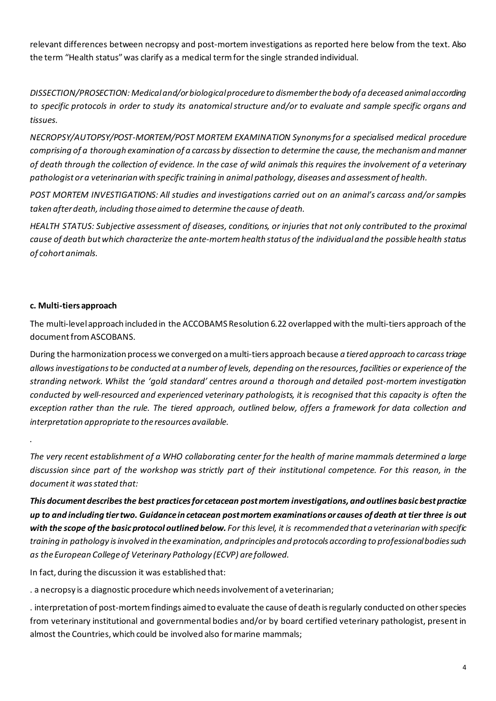relevant differences between necropsy and post-mortem investigations as reported here below from the text. Also the term "Health status"was clarify as a medical termfor the single stranded individual.

*DISSECTION/PROSECTION: Medicaland/orbiologicalprocedureto dismemberthebody ofa deceased animalaccording* to specific protocols in order to study its anatomical structure and/or to evaluate and sample specific organs and *tissues.*

*NECROPSY/AUTOPSY/POST-MORTEM/POST MORTEM EXAMINATION Synonymsfor a specialised medical procedure comprising of a thorough examination of a carcass by dissection to determine the cause,the mechanismandmanner* of death through the collection of evidence. In the case of wild animals this requires the involvement of a veterinary *pathologist ora veterinarianwith specific training in animal pathology, diseases and assessment of health.*

*POST MORTEM INVESTIGATIONS: All studies and investigations carried out on an animal's carcass and/orsamples taken after death, including thoseaimed to determine the cause of death.*

HEALTH STATUS: Subjective assessment of diseases, conditions, or injuries that not only contributed to the proximal *cause of death butwhich characterize the ante-mortemhealth status ofthe individualand the possible health status of cohortanimals.*

## **c. Multi-tiers approach**

*.*

The multi-levelapproach included in the ACCOBAMS Resolution 6.22 overlapped with the multi-tiers approach ofthe document from ASCOBANS.

During the harmonization process we converged on amulti-tiers approach because *a tiered approach to carcasstriage* allows investigations to be conducted at a number of levels, depending on the resources, facilities or experience of the *stranding network. Whilst the 'gold standard' centres around a thorough and detailed post-mortem investigation* conducted by well-resourced and experienced veterinary pathologists, it is recognised that this capacity is often the exception rather than the rule. The tiered approach, outlined below, offers a framework for data collection and *interpretation appropriate to the resources available.*

The very recent establishment of a WHO collaborating center for the health of marine mammals determined a large discussion since part of the workshop was strictly part of their institutional competence. For this reason, in the *documentit wasstated that:*

*This documentdescribesthe best practicesfor cetacean postmortem investigations, and outlines basicbestpractice* up to and including tier two. Guidance in cetacean post mortem examinations or causes of death at tier three is out with the scope of the basic protocol outlined below. For this level, it is recommended that a veterinarian with specific *training in pathology isinvolved in the examination, andprinciples and protocols according to professionalbodiessuch as theEuropean Collegeof Veterinary Pathology (ECVP) are followed.*

In fact, during the discussion it was established that:

. a necropsy is a diagnostic procedure which needsinvolvement of a veterinarian;

. interpretation of post-mortemfindings aimed to evaluate the cause of death isregularly conducted on otherspecies from veterinary institutional and governmental bodies and/or by board certified veterinary pathologist, present in almost the Countries, which could be involved also formarine mammals;